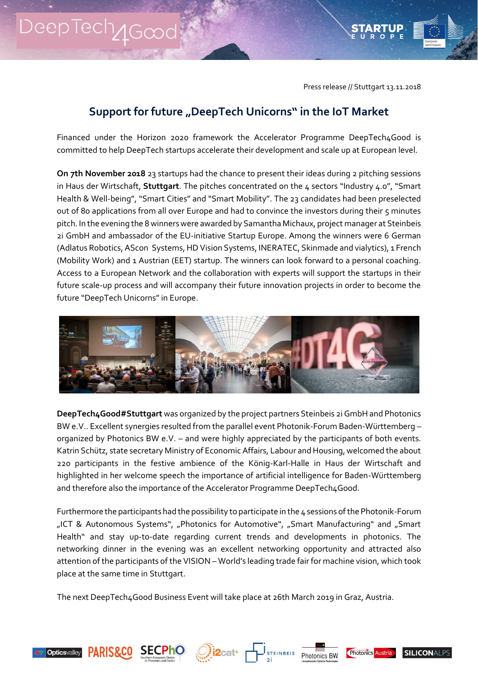Press release // Stuttgart 13.11.2018

## **Support for future "DeepTech Unicorns" in the IoT Market**

Financed under the Horizon 2020 framework the Accelerator Programme DeepTech4Good is committed to help DeepTech startups accelerate their development and scale up at European level.

**On 7th November 2018** 23 startups had the chance to present their ideas during 2 pitching sessions in Haus der Wirtschaft, **Stuttgart**. The pitches concentrated on the 4 sectors "Industry 4.0", "Smart Health & Well-being", "Smart Cities" and "Smart Mobility". The 23 candidates had been preselected out of 80 applications from all over Europe and had to convince the investors during their 5 minutes pitch. In the evening the 8 winners were awarded by Samantha Michaux, project manager at Steinbeis 2i GmbH and ambassador of the EU-initiative Startup Europe. Among the winners were 6 German (Adlatus Robotics, AScon Systems, HD Vision Systems, INERATEC, Skinmade and vialytics), 1 French (Mobility Work) and 1 Austrian (EET) startup. The winners can look forward to a personal coaching. Access to a European Network and the collaboration with experts will support the startups in their future scale-up process and will accompany their future innovation projects in order to become the future "DeepTech Unicorns" in Europe.



**DeepTech4Good#Stuttgart** was organized by the project partners Steinbeis 2i GmbH and Photonics BW e.V.. Excellent synergies resulted from the parallel event Photonik-Forum Baden-Württemberg – organized by Photonics BW e.V. – and were highly appreciated by the participants of both events. Katrin Schütz, state secretary Ministry of Economic Affairs, Labour and Housing, welcomed the about 220 participants in the festive ambience of the König-Karl-Halle in Haus der Wirtschaft and highlighted in her welcome speech the importance of artificial intelligence for Baden-Württemberg and therefore also the importance of the Accelerator Programme DeepTech4Good.

Furthermore the participants had the possibility to participate in the 4 sessions of the Photonik-Forum "ICT & Autonomous Systems", "Photonics for Automotive", "Smart Manufacturing" and "Smart Health" and stay up-to-date regarding current trends and developments in photonics. The networking dinner in the evening was an excellent networking opportunity and attracted also attention of the participants of the VISION – World's leading trade fair for machine vision, which took place at the same time in Stuttgart.

The next DeepTech4Good Business Event will take place at 26th March 2019 in Graz, Austria.